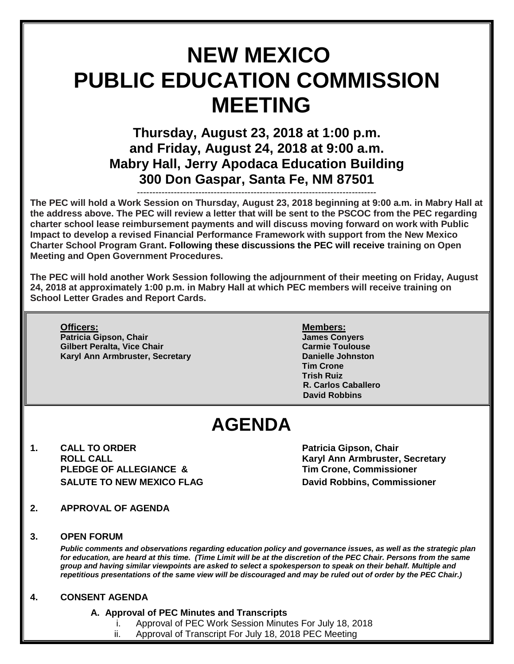# **NEW MEXICO PUBLIC EDUCATION COMMISSION MEETING**

## **Thursday, August 23, 2018 at 1:00 p.m. and Friday, August 24, 2018 at 9:00 a.m. Mabry Hall, Jerry Apodaca Education Building 300 Don Gaspar, Santa Fe, NM 87501**

------------------------------------------------------------------------------ **The PEC will hold a Work Session on Thursday, August 23, 2018 beginning at 9:00 a.m. in Mabry Hall at the address above. The PEC will review a letter that will be sent to the PSCOC from the PEC regarding charter school lease reimbursement payments and will discuss moving forward on work with Public Impact to develop a revised Financial Performance Framework with support from the New Mexico Charter School Program Grant. Following these discussions the PEC will receive training on Open Meeting and Open Government Procedures.** 

**The PEC will hold another Work Session following the adjournment of their meeting on Friday, August 24, 2018 at approximately 1:00 p.m. in Mabry Hall at which PEC members will receive training on School Letter Grades and Report Cards.**

**Officers: Members: Patricia Gipson, Chair James Conyers Gilbert Peralta, Vice Chair Karyl Ann Armbruster, Secretary <b>Danielle Johnston** 

**Tim Crone Trish Ruiz R. Carlos Caballero David Robbins**

## **AGENDA**

**1. CALL TO ORDER Patricia Gipson, Chair PLEDGE OF ALLEGIANCE & Tim Crone, Commissioner SALUTE TO NEW MEXICO FLAG David Robbins, Commissioner**

**ROLL CALL Karyl Ann Armbruster, Secretary**

- **2. APPROVAL OF AGENDA**
- **3. OPEN FORUM**

*Public comments and observations regarding education policy and governance issues, as well as the strategic plan for education, are heard at this time. (Time Limit will be at the discretion of the PEC Chair. Persons from the same group and having similar viewpoints are asked to select a spokesperson to speak on their behalf. Multiple and repetitious presentations of the same view will be discouraged and may be ruled out of order by the PEC Chair.)*

#### **4. CONSENT AGENDA**

- **A. Approval of PEC Minutes and Transcripts**
	- Approval of PEC Work Session Minutes For July 18, 2018
	- ii. Approval of Transcript For July 18, 2018 PEC Meeting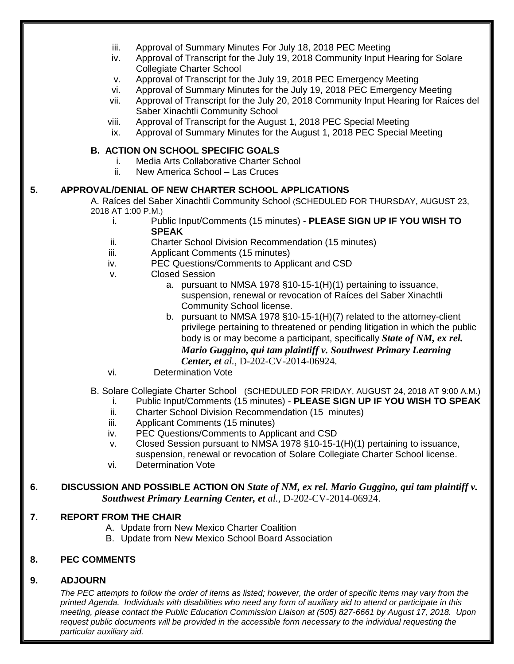|    | iii.<br>iv.<br>v.<br>vi.<br>vii.<br>viii.<br>ix.                                                                                                              | Approval of Summary Minutes For July 18, 2018 PEC Meeting<br>Approval of Transcript for the July 19, 2018 Community Input Hearing for Solare<br><b>Collegiate Charter School</b><br>Approval of Transcript for the July 19, 2018 PEC Emergency Meeting<br>Approval of Summary Minutes for the July 19, 2018 PEC Emergency Meeting<br>Approval of Transcript for the July 20, 2018 Community Input Hearing for Raíces del<br>Saber Xinachtli Community School<br>Approval of Transcript for the August 1, 2018 PEC Special Meeting<br>Approval of Summary Minutes for the August 1, 2018 PEC Special Meeting                                                                                                                                                                                                                                                                                                                                               |
|----|---------------------------------------------------------------------------------------------------------------------------------------------------------------|-----------------------------------------------------------------------------------------------------------------------------------------------------------------------------------------------------------------------------------------------------------------------------------------------------------------------------------------------------------------------------------------------------------------------------------------------------------------------------------------------------------------------------------------------------------------------------------------------------------------------------------------------------------------------------------------------------------------------------------------------------------------------------------------------------------------------------------------------------------------------------------------------------------------------------------------------------------|
|    |                                                                                                                                                               | <b>B. ACTION ON SCHOOL SPECIFIC GOALS</b>                                                                                                                                                                                                                                                                                                                                                                                                                                                                                                                                                                                                                                                                                                                                                                                                                                                                                                                 |
|    | İ.<br>ii.                                                                                                                                                     | Media Arts Collaborative Charter School<br>New America School - Las Cruces                                                                                                                                                                                                                                                                                                                                                                                                                                                                                                                                                                                                                                                                                                                                                                                                                                                                                |
|    |                                                                                                                                                               |                                                                                                                                                                                                                                                                                                                                                                                                                                                                                                                                                                                                                                                                                                                                                                                                                                                                                                                                                           |
| 5. | 2018 AT 1:00 P.M.)<br>i.<br>ii.<br>iii.<br>iv.<br>v.<br>vi.                                                                                                   | APPROVAL/DENIAL OF NEW CHARTER SCHOOL APPLICATIONS<br>A. Raíces del Saber Xinachtli Community School (SCHEDULED FOR THURSDAY, AUGUST 23,<br>Public Input/Comments (15 minutes) - PLEASE SIGN UP IF YOU WISH TO<br><b>SPEAK</b><br><b>Charter School Division Recommendation (15 minutes)</b><br>Applicant Comments (15 minutes)<br>PEC Questions/Comments to Applicant and CSD<br><b>Closed Session</b><br>a. pursuant to NMSA 1978 §10-15-1(H)(1) pertaining to issuance,<br>suspension, renewal or revocation of Raíces del Saber Xinachtli<br>Community School license.<br>b. pursuant to NMSA 1978 $\S$ 10-15-1(H)(7) related to the attorney-client<br>privilege pertaining to threatened or pending litigation in which the public<br>body is or may become a participant, specifically State of NM, ex rel.<br>Mario Guggino, qui tam plaintiff v. Southwest Primary Learning<br>Center, et al., D-202-CV-2014-06924.<br><b>Determination Vote</b> |
|    | Ι.<br>ii.<br>iii.<br>iv.<br>v.<br>vi.                                                                                                                         | B. Solare Collegiate Charter School (SCHEDULED FOR FRIDAY, AUGUST 24, 2018 AT 9:00 A.M.)<br>Public Input/Comments (15 minutes) - PLEASE SIGN UP IF YOU WISH TO SPEAK<br>Charter School Division Recommendation (15 minutes)<br>Applicant Comments (15 minutes)<br>PEC Questions/Comments to Applicant and CSD<br>Closed Session pursuant to NMSA 1978 §10-15-1(H)(1) pertaining to issuance,<br>suspension, renewal or revocation of Solare Collegiate Charter School license.<br><b>Determination Vote</b>                                                                                                                                                                                                                                                                                                                                                                                                                                               |
| 6. | DISCUSSION AND POSSIBLE ACTION ON State of NM, ex rel. Mario Guggino, qui tam plaintiff v.<br>Southwest Primary Learning Center, et al., D-202-CV-2014-06924. |                                                                                                                                                                                                                                                                                                                                                                                                                                                                                                                                                                                                                                                                                                                                                                                                                                                                                                                                                           |
| 7. | <b>REPORT FROM THE CHAIR</b>                                                                                                                                  | A. Update from New Mexico Charter Coalition<br>B. Update from New Mexico School Board Association                                                                                                                                                                                                                                                                                                                                                                                                                                                                                                                                                                                                                                                                                                                                                                                                                                                         |
| 8. | <b>PEC COMMENTS</b>                                                                                                                                           |                                                                                                                                                                                                                                                                                                                                                                                                                                                                                                                                                                                                                                                                                                                                                                                                                                                                                                                                                           |
|    |                                                                                                                                                               |                                                                                                                                                                                                                                                                                                                                                                                                                                                                                                                                                                                                                                                                                                                                                                                                                                                                                                                                                           |

#### **9. ADJOURN**

*The PEC attempts to follow the order of items as listed; however, the order of specific items may vary from the printed Agenda. Individuals with disabilities who need any form of auxiliary aid to attend or participate in this meeting, please contact the Public Education Commission Liaison at (505) 827-6661 by August 17, 2018. Upon request public documents will be provided in the accessible form necessary to the individual requesting the particular auxiliary aid.*